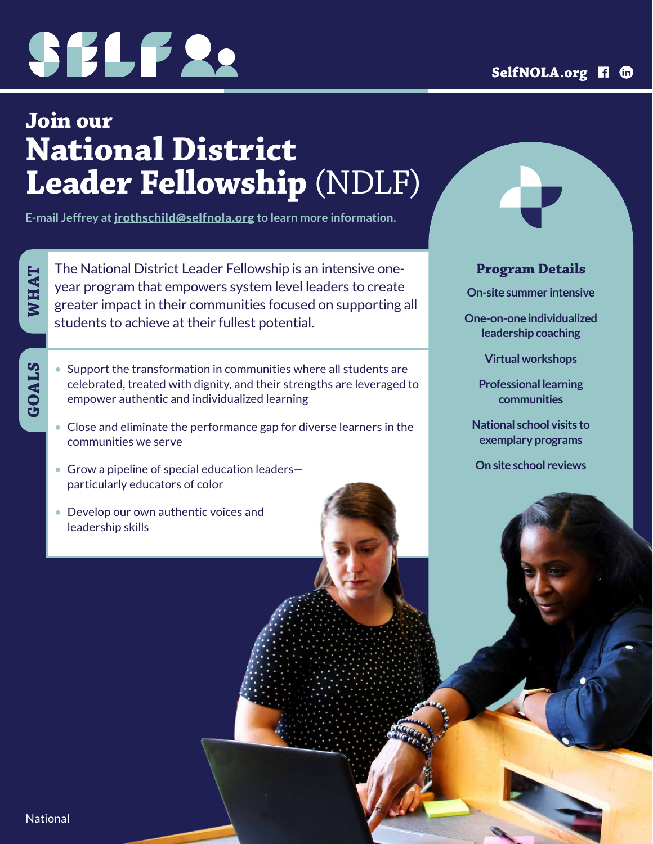

## **Join our National District Leader Fellowship** (NDLF)

**E-mail Jeffrey at [jrothschild@selfnola.org](mailto:jrothschild%40selfnola.org?subject=) to learn more information.**

**WHAT**

The National District Leader Fellowship is an intensive oneyear program that empowers system level leaders to create greater impact in their communities focused on supporting all students to achieve at their fullest potential.

- **GOALS** • Support the transformation in communities where all students are celebrated, treated with dignity, and their strengths are leveraged to empower authentic and individualized learning
	- Close and eliminate the performance gap for diverse learners in the communities we serve
	- Grow a pipeline of special education leaders particularly educators of color
	- Develop our own authentic voices and leadership skills

## **Program Details**

**On-site summer intensive**

**One-on-one individualized leadership coaching**

**Virtual workshops** 

**Professional learning communities**

**National school visits to exemplary programs**

**On site school reviews**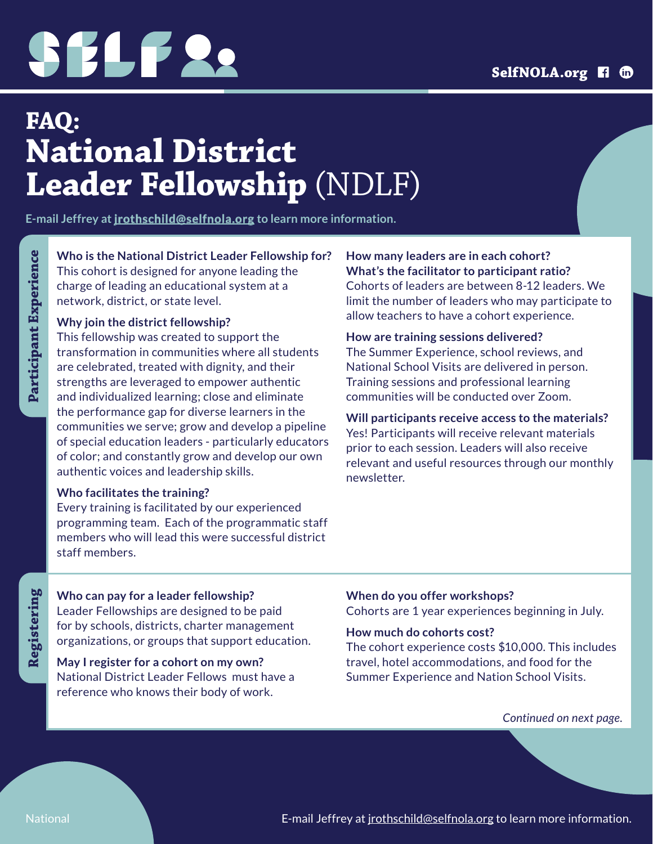

# **FAQ: National District Leader Fellowship** (NDLF)

**E-mail Jeffrey at [jrothschild@selfnola.org](mailto:jrothschild%40selfnola.org?subject=) to learn more information.**

**Who is the National District Leader Fellowship for?** This cohort is designed for anyone leading the charge of leading an educational system at a network, district, or state level.

### **Why join the district fellowship?**

This fellowship was created to support the transformation in communities where all students are celebrated, treated with dignity, and their strengths are leveraged to empower authentic and individualized learning; close and eliminate the performance gap for diverse learners in the communities we serve; grow and develop a pipeline of special education leaders - particularly educators of color; and constantly grow and develop our own authentic voices and leadership skills.

### **Who facilitates the training?**

Every training is facilitated by our experienced programming team. Each of the programmatic staff members who will lead this were successful district staff members.

## **How many leaders are in each cohort? What's the facilitator to participant ratio?** Cohorts of leaders are between 8-12 leaders. We

limit the number of leaders who may participate to allow teachers to have a cohort experience.

### **How are training sessions delivered?**

The Summer Experience, school reviews, and National School Visits are delivered in person. Training sessions and professional learning communities will be conducted over Zoom.

## **Will participants receive access to the materials?**

Yes! Participants will receive relevant materials prior to each session. Leaders will also receive relevant and useful resources through our monthly newsletter.

### **Who can pay for a leader fellowship?**

Leader Fellowships are designed to be paid for by schools, districts, charter management organizations, or groups that support education.

**May I register for a cohort on my own?** National District Leader Fellows must have a reference who knows their body of work.

### **When do you offer workshops?**

Cohorts are 1 year experiences beginning in July.

#### **How much do cohorts cost?**

The cohort experience costs \$10,000. This includes travel, hotel accommodations, and food for the Summer Experience and Nation School Visits.

*Continued on next page.*

**Registering**

Registering